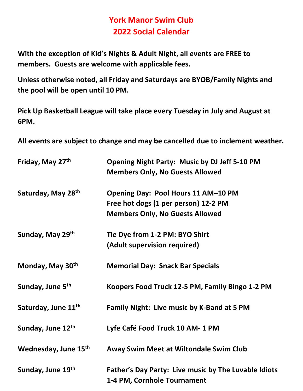## York Manor Swim Club 2022 Social Calendar

With the exception of Kid's Nights & Adult Night, all events are FREE to members. Guests are welcome with applicable fees.

Unless otherwise noted, all Friday and Saturdays are BYOB/Family Nights and the pool will be open until 10 PM.

Pick Up Basketball League will take place every Tuesday in July and August at 6PM.

All events are subject to change and may be cancelled due to inclement weather.

| Friday, May 27th                | <b>Opening Night Party: Music by DJ Jeff 5-10 PM</b><br><b>Members Only, No Guests Allowed</b> |
|---------------------------------|------------------------------------------------------------------------------------------------|
| Saturday, May 28th              | Opening Day: Pool Hours 11 AM-10 PM                                                            |
|                                 | Free hot dogs (1 per person) 12-2 PM                                                           |
|                                 | <b>Members Only, No Guests Allowed</b>                                                         |
| Sunday, May 29th                | Tie Dye from 1-2 PM: BYO Shirt                                                                 |
|                                 | (Adult supervision required)                                                                   |
| Monday, May 30th                | <b>Memorial Day: Snack Bar Specials</b>                                                        |
| Sunday, June 5 <sup>th</sup>    | Koopers Food Truck 12-5 PM, Family Bingo 1-2 PM                                                |
| Saturday, June 11 <sup>th</sup> | Family Night: Live music by K-Band at 5 PM                                                     |
| Sunday, June 12th               | Lyfe Café Food Truck 10 AM-1 PM                                                                |
| Wednesday, June 15th            | Away Swim Meet at Wiltondale Swim Club                                                         |
| Sunday, June 19th               | Father's Day Party: Live music by The Luvable Idiots<br>1-4 PM, Cornhole Tournament            |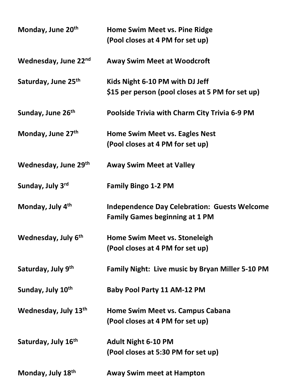| Monday, June 20 <sup>th</sup>   | Home Swim Meet vs. Pine Ridge<br>(Pool closes at 4 PM for set up)                            |
|---------------------------------|----------------------------------------------------------------------------------------------|
| Wednesday, June 22nd            | <b>Away Swim Meet at Woodcroft</b>                                                           |
| Saturday, June 25th             | Kids Night 6-10 PM with DJ Jeff<br>\$15 per person (pool closes at 5 PM for set up)          |
| Sunday, June 26 <sup>th</sup>   | Poolside Trivia with Charm City Trivia 6-9 PM                                                |
| Monday, June 27th               | <b>Home Swim Meet vs. Eagles Nest</b><br>(Pool closes at 4 PM for set up)                    |
| Wednesday, June 29th            | <b>Away Swim Meet at Valley</b>                                                              |
| Sunday, July 3rd                | <b>Family Bingo 1-2 PM</b>                                                                   |
| Monday, July 4th                | <b>Independence Day Celebration: Guests Welcome</b><br><b>Family Games beginning at 1 PM</b> |
| Wednesday, July 6 <sup>th</sup> | <b>Home Swim Meet vs. Stoneleigh</b><br>(Pool closes at 4 PM for set up)                     |
| Saturday, July 9th              | <b>Family Night: Live music by Bryan Miller 5-10 PM</b>                                      |
| Sunday, July 10th               | <b>Baby Pool Party 11 AM-12 PM</b>                                                           |
| Wednesday, July 13th            | Home Swim Meet vs. Campus Cabana<br>(Pool closes at 4 PM for set up)                         |
| Saturday, July 16 <sup>th</sup> | <b>Adult Night 6-10 PM</b><br>(Pool closes at 5:30 PM for set up)                            |
| Monday, July 18th               | <b>Away Swim meet at Hampton</b>                                                             |